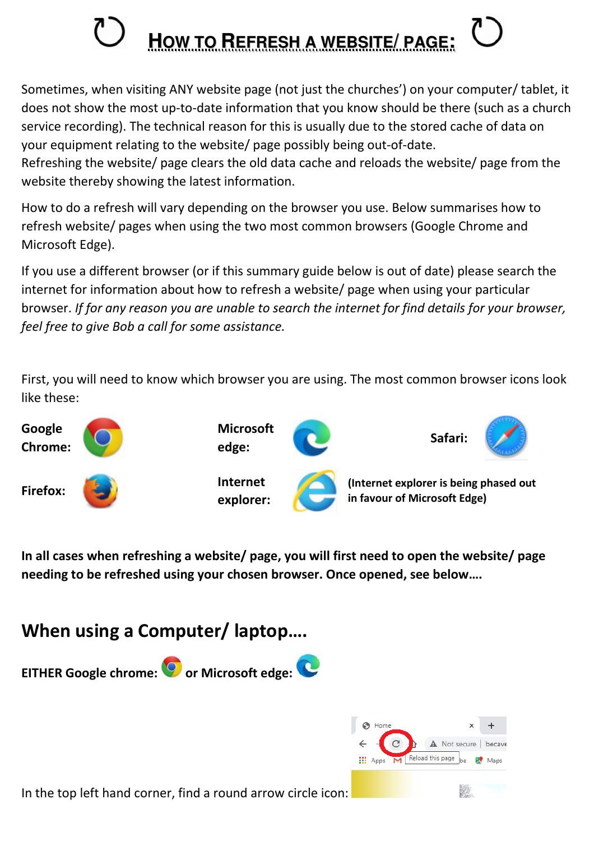## **HOW TO REFRESH A WEBSITE/ PAGE:**

Sometimes, when visiting ANY website page (not just the churches') on your computer/ tablet, it does not show the most up-to-date information that you know should be there (such as a church service recording). The technical reason for this is usually due to the stored cache of data on your equipment relating to the website/ page possibly being out-of-date.

Refreshing the website/ page clears the old data cache and reloads the website/ page from the website thereby showing the latest information.

How to do a refresh will vary depending on the browser you use. Below summarises how to refresh website/ pages when using the two most common browsers (Google Chrome and Microsoft Edge).

If you use a different browser (or if this summary guide below is out of date) please search the internet for information about how to refresh a website/ page when using your particular browser. *If for any reason you are unable to search the internet for find details for your browser, feel free to give Bob a call for some assistance.*

First, you will need to know which browser you are using. The most common browser icons look like these:



**In all cases when refreshing a website/ page, you will first need to open the website/ page needing to be refreshed using your chosen browser. Once opened, see below….** 

## **When using a Computer/ laptop….**





In the top left hand corner, find a round arrow circle icon: